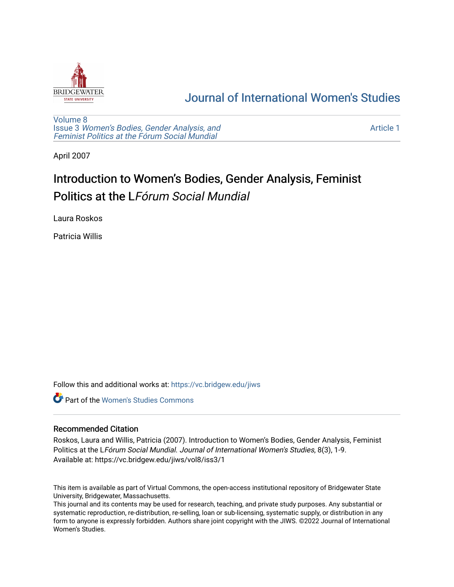

# [Journal of International Women's Studies](https://vc.bridgew.edu/jiws)

[Volume 8](https://vc.bridgew.edu/jiws/vol8) Issue 3 [Women's Bodies, Gender Analysis, and](https://vc.bridgew.edu/jiws/vol8/iss3) [Feminist Politics at the Fórum Social Mundial](https://vc.bridgew.edu/jiws/vol8/iss3)

[Article 1](https://vc.bridgew.edu/jiws/vol8/iss3/1) 

April 2007

# Introduction to Women's Bodies, Gender Analysis, Feminist Politics at the LFórum Social Mundial

Laura Roskos

Patricia Willis

Follow this and additional works at: [https://vc.bridgew.edu/jiws](https://vc.bridgew.edu/jiws?utm_source=vc.bridgew.edu%2Fjiws%2Fvol8%2Fiss3%2F1&utm_medium=PDF&utm_campaign=PDFCoverPages)

**C** Part of the Women's Studies Commons

# Recommended Citation

Roskos, Laura and Willis, Patricia (2007). Introduction to Women's Bodies, Gender Analysis, Feminist Politics at the LFórum Social Mundial. Journal of International Women's Studies, 8(3), 1-9. Available at: https://vc.bridgew.edu/jiws/vol8/iss3/1

This item is available as part of Virtual Commons, the open-access institutional repository of Bridgewater State University, Bridgewater, Massachusetts.

This journal and its contents may be used for research, teaching, and private study purposes. Any substantial or systematic reproduction, re-distribution, re-selling, loan or sub-licensing, systematic supply, or distribution in any form to anyone is expressly forbidden. Authors share joint copyright with the JIWS. ©2022 Journal of International Women's Studies.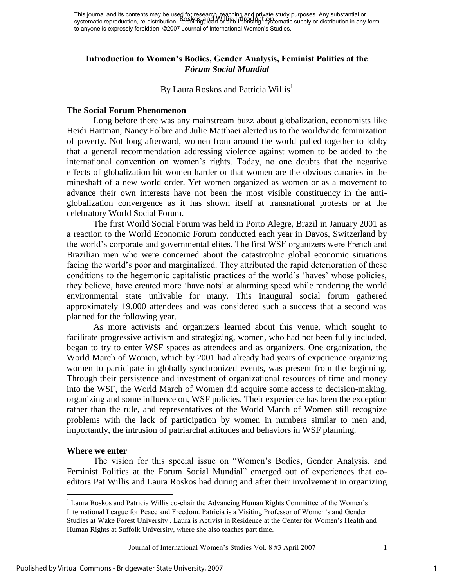This journal and its contents may be used for research, teaching and private study purposes. Any substantial or systematic reproduction, re-distribution, re-sell<del>ing, Ioan or sub-licensing, syst</del>ematic supply or distribution in any form to anyone is expressly forbidden. ©2007 Journal of International Women's Studies. Roskos and Willis: Introduction

# **Introduction to Women's Bodies, Gender Analysis, Feminist Politics at the**  *Fórum Social Mundial*

By Laura Roskos and Patricia Willis<sup>1</sup>

#### **The Social Forum Phenomenon**

Long before there was any mainstream buzz about globalization, economists like Heidi Hartman, Nancy Folbre and Julie Matthaei alerted us to the worldwide feminization of poverty. Not long afterward, women from around the world pulled together to lobby that a general recommendation addressing violence against women to be added to the international convention on women"s rights. Today, no one doubts that the negative effects of globalization hit women harder or that women are the obvious canaries in the mineshaft of a new world order. Yet women organized as women or as a movement to advance their own interests have not been the most visible constituency in the antiglobalization convergence as it has shown itself at transnational protests or at the celebratory World Social Forum.

 The first World Social Forum was held in Porto Alegre, Brazil in January 2001 as a reaction to the World Economic Forum conducted each year in Davos, Switzerland by the world"s corporate and governmental elites. The first WSF organizers were French and Brazilian men who were concerned about the catastrophic global economic situations facing the world's poor and marginalized. They attributed the rapid deterioration of these conditions to the hegemonic capitalistic practices of the world"s "haves" whose policies, they believe, have created more "have nots" at alarming speed while rendering the world environmental state unlivable for many. This inaugural social forum gathered approximately 19,000 attendees and was considered such a success that a second was planned for the following year.

 As more activists and organizers learned about this venue, which sought to facilitate progressive activism and strategizing, women, who had not been fully included, began to try to enter WSF spaces as attendees and as organizers. One organization, the World March of Women, which by 2001 had already had years of experience organizing women to participate in globally synchronized events, was present from the beginning. Through their persistence and investment of organizational resources of time and money into the WSF, the World March of Women did acquire some access to decision-making, organizing and some influence on, WSF policies. Their experience has been the exception rather than the rule, and representatives of the World March of Women still recognize problems with the lack of participation by women in numbers similar to men and, importantly, the intrusion of patriarchal attitudes and behaviors in WSF planning.

### **Where we enter**

 $\overline{a}$ 

The vision for this special issue on "Women"s Bodies, Gender Analysis, and Feminist Politics at the Forum Social Mundial" emerged out of experiences that coeditors Pat Willis and Laura Roskos had during and after their involvement in organizing

<sup>&</sup>lt;sup>1</sup> Laura Roskos and Patricia Willis co-chair the Advancing Human Rights Committee of the Women's International League for Peace and Freedom. Patricia is a Visiting Professor of Women's and Gender Studies at Wake Forest University . Laura is Activist in Residence at the Center for Women"s Health and Human Rights at Suffolk University, where she also teaches part time.

Journal of International Women"s Studies Vol. 8 #3 April 2007 1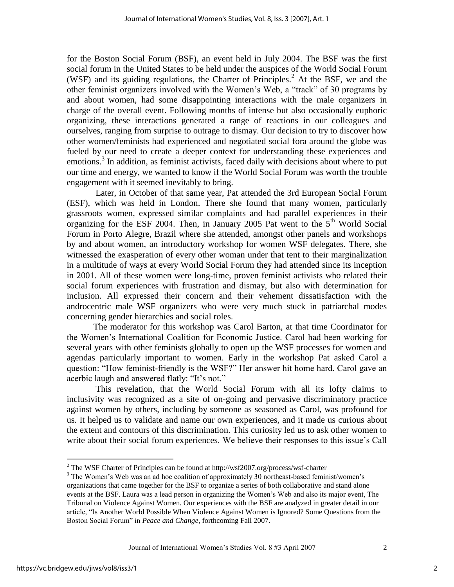for the Boston Social Forum (BSF), an event held in July 2004. The BSF was the first social forum in the United States to be held under the auspices of the World Social Forum (WSF) and its guiding regulations, the Charter of Principles.<sup>2</sup> At the BSF, we and the other feminist organizers involved with the Women"s Web, a "track" of 30 programs by and about women, had some disappointing interactions with the male organizers in charge of the overall event. Following months of intense but also occasionally euphoric organizing, these interactions generated a range of reactions in our colleagues and ourselves, ranging from surprise to outrage to dismay. Our decision to try to discover how other women/feminists had experienced and negotiated social fora around the globe was fueled by our need to create a deeper context for understanding these experiences and emotions.<sup>3</sup> In addition, as feminist activists, faced daily with decisions about where to put our time and energy, we wanted to know if the World Social Forum was worth the trouble engagement with it seemed inevitably to bring.

 Later, in October of that same year, Pat attended the 3rd European Social Forum (ESF), which was held in London. There she found that many women, particularly grassroots women, expressed similar complaints and had parallel experiences in their organizing for the ESF 2004. Then, in January 2005 Pat went to the  $5<sup>th</sup>$  World Social Forum in Porto Alegre, Brazil where she attended, amongst other panels and workshops by and about women, an introductory workshop for women WSF delegates. There, she witnessed the exasperation of every other woman under that tent to their marginalization in a multitude of ways at every World Social Forum they had attended since its inception in 2001. All of these women were long-time, proven feminist activists who related their social forum experiences with frustration and dismay, but also with determination for inclusion. All expressed their concern and their vehement dissatisfaction with the androcentric male WSF organizers who were very much stuck in patriarchal modes concerning gender hierarchies and social roles.

 The moderator for this workshop was Carol Barton, at that time Coordinator for the Women"s International Coalition for Economic Justice. Carol had been working for several years with other feminists globally to open up the WSF processes for women and agendas particularly important to women. Early in the workshop Pat asked Carol a question: "How feminist-friendly is the WSF?" Her answer hit home hard. Carol gave an acerbic laugh and answered flatly: "It"s not."

This revelation, that the World Social Forum with all its lofty claims to inclusivity was recognized as a site of on-going and pervasive discriminatory practice against women by others, including by someone as seasoned as Carol, was profound for us. It helped us to validate and name our own experiences, and it made us curious about the extent and contours of this discrimination. This curiosity led us to ask other women to write about their social forum experiences. We believe their responses to this issue"s Call

 $\overline{a}$ 

<sup>&</sup>lt;sup>2</sup> The WSF Charter of Principles can be found at http://wsf2007.org/process/wsf-charter

<sup>&</sup>lt;sup>3</sup> The Women's Web was an ad hoc coalition of approximately 30 northeast-based feminist/women's organizations that came together for the BSF to organize a series of both collaborative and stand alone events at the BSF. Laura was a lead person in organizing the Women"s Web and also its major event, The Tribunal on Violence Against Women. Our experiences with the BSF are analyzed in greater detail in our article, "Is Another World Possible When Violence Against Women is Ignored? Some Questions from the Boston Social Forum" in *Peace and Change*, forthcoming Fall 2007.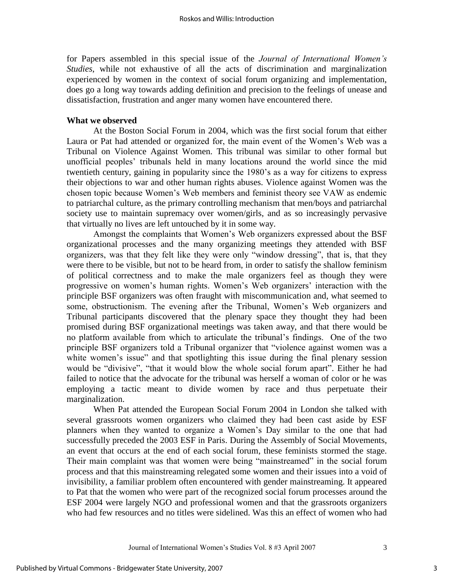for Papers assembled in this special issue of the *Journal of International Women's Studies*, while not exhaustive of all the acts of discrimination and marginalization experienced by women in the context of social forum organizing and implementation, does go a long way towards adding definition and precision to the feelings of unease and dissatisfaction, frustration and anger many women have encountered there.

# **What we observed**

 At the Boston Social Forum in 2004, which was the first social forum that either Laura or Pat had attended or organized for, the main event of the Women"s Web was a Tribunal on Violence Against Women. This tribunal was similar to other formal but unofficial peoples" tribunals held in many locations around the world since the mid twentieth century, gaining in popularity since the 1980"s as a way for citizens to express their objections to war and other human rights abuses. Violence against Women was the chosen topic because Women"s Web members and feminist theory see VAW as endemic to patriarchal culture, as the primary controlling mechanism that men/boys and patriarchal society use to maintain supremacy over women/girls, and as so increasingly pervasive that virtually no lives are left untouched by it in some way.

Amongst the complaints that Women"s Web organizers expressed about the BSF organizational processes and the many organizing meetings they attended with BSF organizers, was that they felt like they were only "window dressing", that is, that they were there to be visible, but not to be heard from, in order to satisfy the shallow feminism of political correctness and to make the male organizers feel as though they were progressive on women"s human rights. Women"s Web organizers" interaction with the principle BSF organizers was often fraught with miscommunication and, what seemed to some, obstructionism. The evening after the Tribunal, Women"s Web organizers and Tribunal participants discovered that the plenary space they thought they had been promised during BSF organizational meetings was taken away, and that there would be no platform available from which to articulate the tribunal"s findings. One of the two principle BSF organizers told a Tribunal organizer that "violence against women was a white women's issue" and that spotlighting this issue during the final plenary session would be "divisive", "that it would blow the whole social forum apart". Either he had failed to notice that the advocate for the tribunal was herself a woman of color or he was employing a tactic meant to divide women by race and thus perpetuate their marginalization.

When Pat attended the European Social Forum 2004 in London she talked with several grassroots women organizers who claimed they had been cast aside by ESF planners when they wanted to organize a Women"s Day similar to the one that had successfully preceded the 2003 ESF in Paris. During the Assembly of Social Movements, an event that occurs at the end of each social forum, these feminists stormed the stage. Their main complaint was that women were being "mainstreamed" in the social forum process and that this mainstreaming relegated some women and their issues into a void of invisibility, a familiar problem often encountered with gender mainstreaming. It appeared to Pat that the women who were part of the recognized social forum processes around the ESF 2004 were largely NGO and professional women and that the grassroots organizers who had few resources and no titles were sidelined. Was this an effect of women who had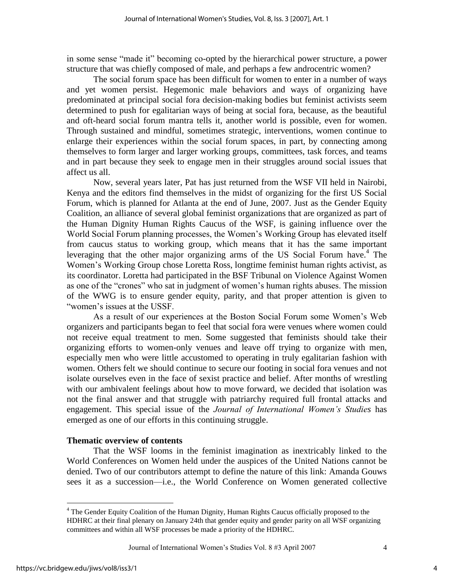in some sense "made it" becoming co-opted by the hierarchical power structure, a power structure that was chiefly composed of male, and perhaps a few androcentric women?

The social forum space has been difficult for women to enter in a number of ways and yet women persist. Hegemonic male behaviors and ways of organizing have predominated at principal social fora decision-making bodies but feminist activists seem determined to push for egalitarian ways of being at social fora, because, as the beautiful and oft-heard social forum mantra tells it, another world is possible, even for women. Through sustained and mindful, sometimes strategic, interventions, women continue to enlarge their experiences within the social forum spaces, in part, by connecting among themselves to form larger and larger working groups, committees, task forces, and teams and in part because they seek to engage men in their struggles around social issues that affect us all.

Now, several years later, Pat has just returned from the WSF VII held in Nairobi, Kenya and the editors find themselves in the midst of organizing for the first US Social Forum, which is planned for Atlanta at the end of June, 2007. Just as the Gender Equity Coalition, an alliance of several global feminist organizations that are organized as part of the Human Dignity Human Rights Caucus of the WSF, is gaining influence over the World Social Forum planning processes, the Women"s Working Group has elevated itself from caucus status to working group, which means that it has the same important leveraging that the other major organizing arms of the US Social Forum have.<sup>4</sup> The Women"s Working Group chose Loretta Ross, longtime feminist human rights activist, as its coordinator. Loretta had participated in the BSF Tribunal on Violence Against Women as one of the "crones" who sat in judgment of women"s human rights abuses. The mission of the WWG is to ensure gender equity, parity, and that proper attention is given to "women"s issues at the USSF.

As a result of our experiences at the Boston Social Forum some Women"s Web organizers and participants began to feel that social fora were venues where women could not receive equal treatment to men. Some suggested that feminists should take their organizing efforts to women-only venues and leave off trying to organize with men, especially men who were little accustomed to operating in truly egalitarian fashion with women. Others felt we should continue to secure our footing in social fora venues and not isolate ourselves even in the face of sexist practice and belief. After months of wrestling with our ambivalent feelings about how to move forward, we decided that isolation was not the final answer and that struggle with patriarchy required full frontal attacks and engagement. This special issue of the *Journal of International Women's Studies* has emerged as one of our efforts in this continuing struggle.

#### **Thematic overview of contents**

That the WSF looms in the feminist imagination as inextricably linked to the World Conferences on Women held under the auspices of the United Nations cannot be denied. Two of our contributors attempt to define the nature of this link: Amanda Gouws sees it as a succession—i.e., the World Conference on Women generated collective

Journal of International Women"s Studies Vol. 8 #3 April 2007 4

 $\overline{a}$ 

4

<sup>&</sup>lt;sup>4</sup> The Gender Equity Coalition of the Human Dignity, Human Rights Caucus officially proposed to the HDHRC at their final plenary on January 24th that gender equity and gender parity on all WSF organizing committees and within all WSF processes be made a priority of the HDHRC.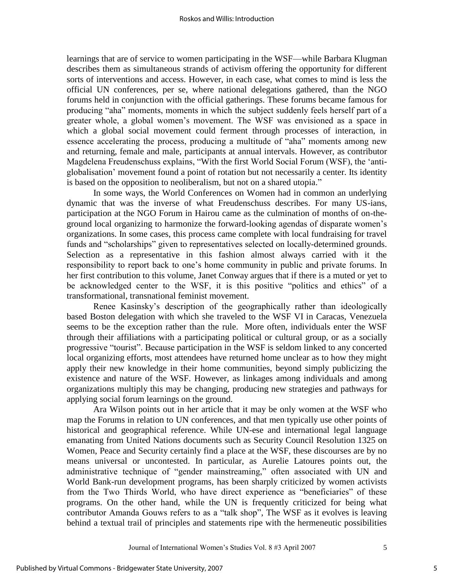learnings that are of service to women participating in the WSF—while Barbara Klugman describes them as simultaneous strands of activism offering the opportunity for different sorts of interventions and access. However, in each case, what comes to mind is less the official UN conferences, per se, where national delegations gathered, than the NGO forums held in conjunction with the official gatherings. These forums became famous for producing "aha" moments, moments in which the subject suddenly feels herself part of a greater whole, a global women"s movement. The WSF was envisioned as a space in which a global social movement could ferment through processes of interaction, in essence accelerating the process, producing a multitude of "aha" moments among new and returning, female and male, participants at annual intervals. However, as contributor Magdelena Freudenschuss explains, "With the first World Social Forum (WSF), the "antiglobalisation" movement found a point of rotation but not necessarily a center. Its identity is based on the opposition to neoliberalism, but not on a shared utopia."

In some ways, the World Conferences on Women had in common an underlying dynamic that was the inverse of what Freudenschuss describes. For many US-ians, participation at the NGO Forum in Hairou came as the culmination of months of on-theground local organizing to harmonize the forward-looking agendas of disparate women"s organizations. In some cases, this process came complete with local fundraising for travel funds and "scholarships" given to representatives selected on locally-determined grounds. Selection as a representative in this fashion almost always carried with it the responsibility to report back to one's home community in public and private forums. In her first contribution to this volume, Janet Conway argues that if there is a muted or yet to be acknowledged center to the WSF, it is this positive "politics and ethics" of a transformational, transnational feminist movement.

Renee Kasinsky"s description of the geographically rather than ideologically based Boston delegation with which she traveled to the WSF VI in Caracas, Venezuela seems to be the exception rather than the rule. More often, individuals enter the WSF through their affiliations with a participating political or cultural group, or as a socially progressive "tourist". Because participation in the WSF is seldom linked to any concerted local organizing efforts, most attendees have returned home unclear as to how they might apply their new knowledge in their home communities, beyond simply publicizing the existence and nature of the WSF. However, as linkages among individuals and among organizations multiply this may be changing, producing new strategies and pathways for applying social forum learnings on the ground.

Ara Wilson points out in her article that it may be only women at the WSF who map the Forums in relation to UN conferences, and that men typically use other points of historical and geographical reference. While UN-ese and international legal language emanating from United Nations documents such as Security Council Resolution 1325 on Women, Peace and Security certainly find a place at the WSF, these discourses are by no means universal or uncontested. In particular, as Aurelie Latoures points out, the administrative technique of "gender mainstreaming," often associated with UN and World Bank-run development programs, has been sharply criticized by women activists from the Two Thirds World, who have direct experience as "beneficiaries" of these programs. On the other hand, while the UN is frequently criticized for being what contributor Amanda Gouws refers to as a "talk shop", The WSF as it evolves is leaving behind a textual trail of principles and statements ripe with the hermeneutic possibilities

5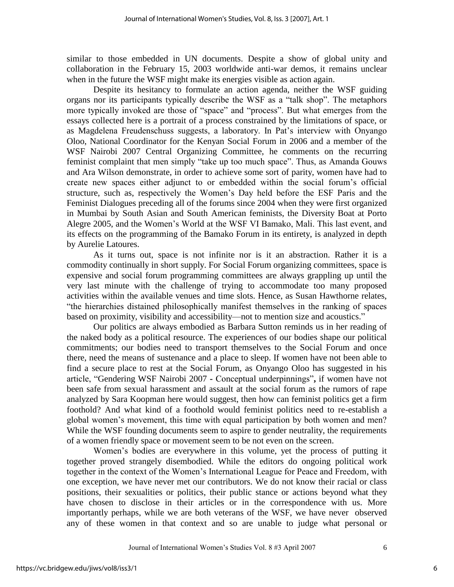similar to those embedded in UN documents. Despite a show of global unity and collaboration in the February 15, 2003 worldwide anti-war demos, it remains unclear when in the future the WSF might make its energies visible as action again.

Despite its hesitancy to formulate an action agenda, neither the WSF guiding organs nor its participants typically describe the WSF as a "talk shop". The metaphors more typically invoked are those of "space" and "process". But what emerges from the essays collected here is a portrait of a process constrained by the limitations of space, or as Magdelena Freudenschuss suggests, a laboratory. In Pat"s interview with Onyango Oloo, National Coordinator for the Kenyan Social Forum in 2006 and a member of the WSF Nairobi 2007 Central Organizing Committee, he comments on the recurring feminist complaint that men simply "take up too much space". Thus, as Amanda Gouws and Ara Wilson demonstrate, in order to achieve some sort of parity, women have had to create new spaces either adjunct to or embedded within the social forum"s official structure, such as, respectively the Women"s Day held before the ESF Paris and the Feminist Dialogues preceding all of the forums since 2004 when they were first organized in Mumbai by South Asian and South American feminists, the Diversity Boat at Porto Alegre 2005, and the Women"s World at the WSF VI Bamako, Mali. This last event, and its effects on the programming of the Bamako Forum in its entirety, is analyzed in depth by Aurelie Latoures.

As it turns out, space is not infinite nor is it an abstraction. Rather it is a commodity continually in short supply. For Social Forum organizing committees, space is expensive and social forum programming committees are always grappling up until the very last minute with the challenge of trying to accommodate too many proposed activities within the available venues and time slots. Hence, as Susan Hawthorne relates, "the hierarchies distained philosophically manifest themselves in the ranking of spaces based on proximity, visibility and accessibility—not to mention size and acoustics."

Our politics are always embodied as Barbara Sutton reminds us in her reading of the naked body as a political resource. The experiences of our bodies shape our political commitments; our bodies need to transport themselves to the Social Forum and once there, need the means of sustenance and a place to sleep. If women have not been able to find a secure place to rest at the Social Forum, as Onyango Oloo has suggested in his article, "Gendering WSF Nairobi 2007 **-** Conceptual underpinnings"**,** if women have not been safe from sexual harassment and assault at the social forum as the rumors of rape analyzed by Sara Koopman here would suggest, then how can feminist politics get a firm foothold? And what kind of a foothold would feminist politics need to re-establish a global women's movement, this time with equal participation by both women and men? While the WSF founding documents seem to aspire to gender neutrality, the requirements of a women friendly space or movement seem to be not even on the screen.

Women"s bodies are everywhere in this volume, yet the process of putting it together proved strangely disembodied. While the editors do ongoing political work together in the context of the Women"s International League for Peace and Freedom, with one exception, we have never met our contributors. We do not know their racial or class positions, their sexualities or politics, their public stance or actions beyond what they have chosen to disclose in their articles or in the correspondence with us. More importantly perhaps, while we are both veterans of the WSF, we have never observed any of these women in that context and so are unable to judge what personal or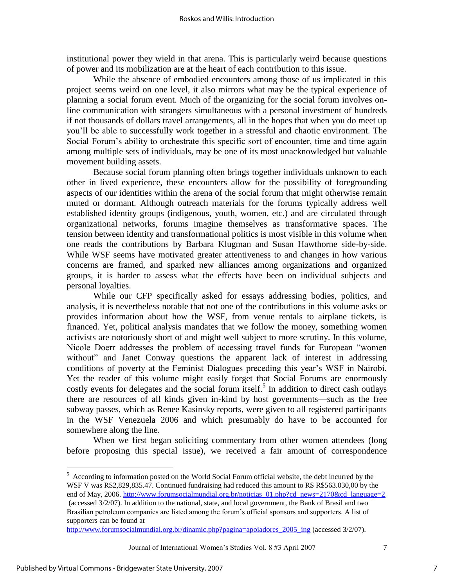institutional power they wield in that arena. This is particularly weird because questions of power and its mobilization are at the heart of each contribution to this issue.

While the absence of embodied encounters among those of us implicated in this project seems weird on one level, it also mirrors what may be the typical experience of planning a social forum event. Much of the organizing for the social forum involves online communication with strangers simultaneous with a personal investment of hundreds if not thousands of dollars travel arrangements, all in the hopes that when you do meet up you"ll be able to successfully work together in a stressful and chaotic environment. The Social Forum's ability to orchestrate this specific sort of encounter, time and time again among multiple sets of individuals, may be one of its most unacknowledged but valuable movement building assets.

Because social forum planning often brings together individuals unknown to each other in lived experience, these encounters allow for the possibility of foregrounding aspects of our identities within the arena of the social forum that might otherwise remain muted or dormant. Although outreach materials for the forums typically address well established identity groups (indigenous, youth, women, etc.) and are circulated through organizational networks, forums imagine themselves as transformative spaces. The tension between identity and transformational politics is most visible in this volume when one reads the contributions by Barbara Klugman and Susan Hawthorne side-by-side. While WSF seems have motivated greater attentiveness to and changes in how various concerns are framed, and sparked new alliances among organizations and organized groups, it is harder to assess what the effects have been on individual subjects and personal loyalties.

While our CFP specifically asked for essays addressing bodies, politics, and analysis, it is nevertheless notable that not one of the contributions in this volume asks or provides information about how the WSF, from venue rentals to airplane tickets, is financed. Yet, political analysis mandates that we follow the money, something women activists are notoriously short of and might well subject to more scrutiny. In this volume, Nicole Doerr addresses the problem of accessing travel funds for European "women without" and Janet Conway questions the apparent lack of interest in addressing conditions of poverty at the Feminist Dialogues preceding this year"s WSF in Nairobi. Yet the reader of this volume might easily forget that Social Forums are enormously costly events for delegates and the social forum itself.<sup>5</sup> In addition to direct cash outlays there are resources of all kinds given in-kind by host governments—such as the free subway passes, which as Renee Kasinsky reports, were given to all registered participants in the WSF Venezuela 2006 and which presumably do have to be accounted for somewhere along the line.

When we first began soliciting commentary from other women attendees (long before proposing this special issue), we received a fair amount of correspondence

Journal of International Women's Studies Vol. 8 #3 April 2007 7

 $\overline{a}$ 

7

<sup>&</sup>lt;sup>5</sup> According to information posted on the World Social Forum official website, the debt incurred by the WSF V was R\$2,829,835.47. Continued fundraising had reduced this amount to R\$ R\$563.030,00 by the end of May, 2006. [http://www.forumsocialmundial.org.br/noticias\\_01.php?cd\\_news=2170&cd\\_language=2](http://www.forumsocialmundial.org.br/noticias_01.php?cd_news=2170&cd_language=2) (accessed 3/2/07). In addition to the national, state, and local government, the Bank of Brasil and two Brasilian petroleum companies are listed among the forum"s official sponsors and supporters. A list of supporters can be found at

http://www.forumsocialmundial.org.br/dinamic.php?pagina=apoiadores 2005 ing (accessed 3/2/07).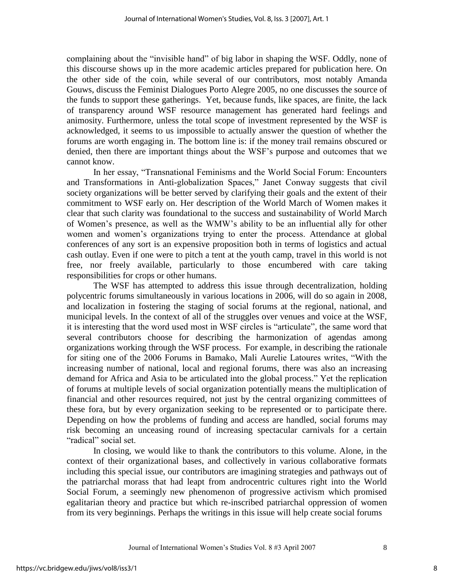complaining about the "invisible hand" of big labor in shaping the WSF. Oddly, none of this discourse shows up in the more academic articles prepared for publication here. On the other side of the coin, while several of our contributors, most notably Amanda Gouws, discuss the Feminist Dialogues Porto Alegre 2005, no one discusses the source of the funds to support these gatherings. Yet, because funds, like spaces, are finite, the lack of transparency around WSF resource management has generated hard feelings and animosity. Furthermore, unless the total scope of investment represented by the WSF is acknowledged, it seems to us impossible to actually answer the question of whether the forums are worth engaging in. The bottom line is: if the money trail remains obscured or denied, then there are important things about the WSF"s purpose and outcomes that we cannot know.

In her essay, "Transnational Feminisms and the World Social Forum: Encounters and Transformations in Anti-globalization Spaces," Janet Conway suggests that civil society organizations will be better served by clarifying their goals and the extent of their commitment to WSF early on. Her description of the World March of Women makes it clear that such clarity was foundational to the success and sustainability of World March of Women"s presence, as well as the WMW"s ability to be an influential ally for other women and women"s organizations trying to enter the process. Attendance at global conferences of any sort is an expensive proposition both in terms of logistics and actual cash outlay. Even if one were to pitch a tent at the youth camp, travel in this world is not free, nor freely available, particularly to those encumbered with care taking responsibilities for crops or other humans.

 The WSF has attempted to address this issue through decentralization, holding polycentric forums simultaneously in various locations in 2006, will do so again in 2008, and localization in fostering the staging of social forums at the regional, national, and municipal levels. In the context of all of the struggles over venues and voice at the WSF, it is interesting that the word used most in WSF circles is "articulate", the same word that several contributors choose for describing the harmonization of agendas among organizations working through the WSF process. For example, in describing the rationale for siting one of the 2006 Forums in Bamako, Mali Aurelie Latoures writes, "With the increasing number of national, local and regional forums, there was also an increasing demand for Africa and Asia to be articulated into the global process." Yet the replication of forums at multiple levels of social organization potentially means the multiplication of financial and other resources required, not just by the central organizing committees of these fora, but by every organization seeking to be represented or to participate there. Depending on how the problems of funding and access are handled, social forums may risk becoming an unceasing round of increasing spectacular carnivals for a certain "radical" social set.

In closing, we would like to thank the contributors to this volume. Alone, in the context of their organizational bases, and collectively in various collaborative formats including this special issue, our contributors are imagining strategies and pathways out of the patriarchal morass that had leapt from androcentric cultures right into the World Social Forum, a seemingly new phenomenon of progressive activism which promised egalitarian theory and practice but which re-inscribed patriarchal oppression of women from its very beginnings. Perhaps the writings in this issue will help create social forums